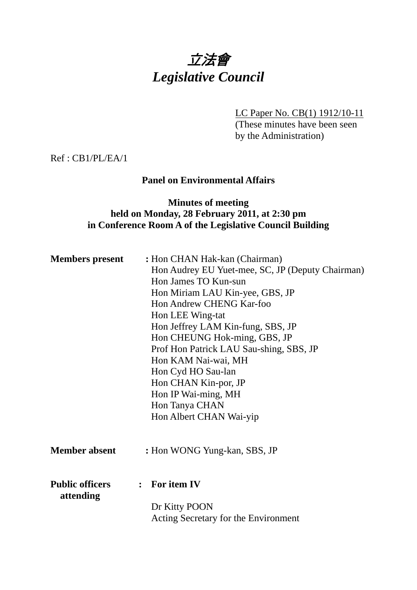# 立法會 *Legislative Council*

LC Paper No. CB(1) 1912/10-11 (These minutes have been seen by the Administration)

Ref : CB1/PL/EA/1

#### **Panel on Environmental Affairs**

# **Minutes of meeting held on Monday, 28 February 2011, at 2:30 pm in Conference Room A of the Legislative Council Building**

| <b>Members</b> present              | : Hon CHAN Hak-kan (Chairman)                    |  |  |  |  |
|-------------------------------------|--------------------------------------------------|--|--|--|--|
|                                     | Hon Audrey EU Yuet-mee, SC, JP (Deputy Chairman) |  |  |  |  |
|                                     | Hon James TO Kun-sun                             |  |  |  |  |
|                                     | Hon Miriam LAU Kin-yee, GBS, JP                  |  |  |  |  |
|                                     | Hon Andrew CHENG Kar-foo                         |  |  |  |  |
|                                     | Hon LEE Wing-tat                                 |  |  |  |  |
|                                     | Hon Jeffrey LAM Kin-fung, SBS, JP                |  |  |  |  |
|                                     | Hon CHEUNG Hok-ming, GBS, JP                     |  |  |  |  |
|                                     | Prof Hon Patrick LAU Sau-shing, SBS, JP          |  |  |  |  |
|                                     | Hon KAM Nai-wai, MH                              |  |  |  |  |
|                                     | Hon Cyd HO Sau-lan                               |  |  |  |  |
|                                     | Hon CHAN Kin-por, JP                             |  |  |  |  |
|                                     | Hon IP Wai-ming, MH                              |  |  |  |  |
|                                     | Hon Tanya CHAN                                   |  |  |  |  |
|                                     | Hon Albert CHAN Wai-yip                          |  |  |  |  |
|                                     |                                                  |  |  |  |  |
| <b>Member absent</b>                | : Hon WONG Yung-kan, SBS, JP                     |  |  |  |  |
|                                     |                                                  |  |  |  |  |
| <b>Public officers</b><br>attending | $:$ For item IV                                  |  |  |  |  |
|                                     | Dr Kitty POON                                    |  |  |  |  |
|                                     | Acting Secretary for the Environment             |  |  |  |  |
|                                     |                                                  |  |  |  |  |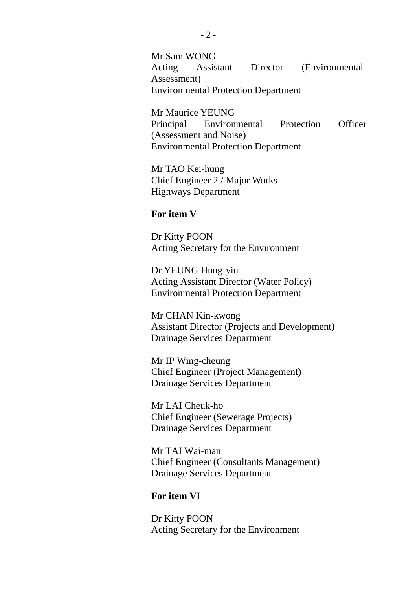Mr Sam WONG Acting Assistant Director (Environmental Assessment) Environmental Protection Department

Mr Maurice YEUNG Principal Environmental Protection Officer (Assessment and Noise) Environmental Protection Department

Mr TAO Kei-hung Chief Engineer 2 / Major Works Highways Department

#### **For item V**

Dr Kitty POON Acting Secretary for the Environment

Dr YEUNG Hung-yiu Acting Assistant Director (Water Policy) Environmental Protection Department

Mr CHAN Kin-kwong Assistant Director (Projects and Development) Drainage Services Department

Mr IP Wing-cheung Chief Engineer (Project Management) Drainage Services Department

Mr LAI Cheuk-ho Chief Engineer (Sewerage Projects) Drainage Services Department

Mr TAI Wai-man Chief Engineer (Consultants Management) Drainage Services Department

#### **For item VI**

Dr Kitty POON Acting Secretary for the Environment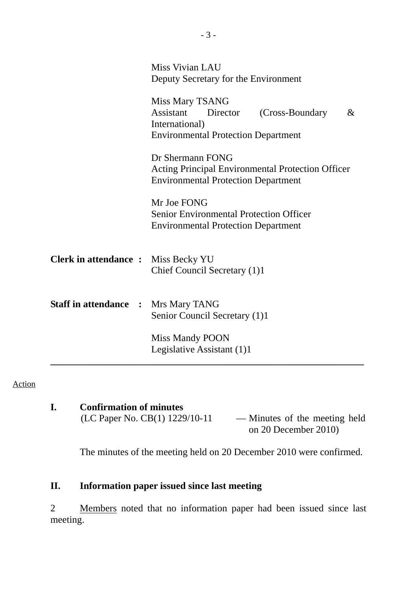|                                            | Miss Vivian LAU<br>Deputy Secretary for the Environment                                                                           |  |
|--------------------------------------------|-----------------------------------------------------------------------------------------------------------------------------------|--|
|                                            | Miss Mary TSANG<br>Assistant<br>Director<br>(Cross-Boundary)<br>&<br>International)<br><b>Environmental Protection Department</b> |  |
|                                            | Dr Shermann FONG<br><b>Acting Principal Environmental Protection Officer</b><br><b>Environmental Protection Department</b>        |  |
|                                            | Mr Joe FONG<br><b>Senior Environmental Protection Officer</b><br><b>Environmental Protection Department</b>                       |  |
| <b>Clerk in attendance :</b> Miss Becky YU | Chief Council Secretary (1)1                                                                                                      |  |
| <b>Staff in attendance : Mrs Mary TANG</b> | Senior Council Secretary (1)1                                                                                                     |  |
|                                            | <b>Miss Mandy POON</b><br>Legislative Assistant (1)1                                                                              |  |

#### Action

**I. Confirmation of minutes**  (LC Paper No. CB(1)  $1229/10-11$  — Minutes of the meeting held

on 20 December 2010)

The minutes of the meeting held on 20 December 2010 were confirmed.

# **II. Information paper issued since last meeting**

2 Members noted that no information paper had been issued since last meeting.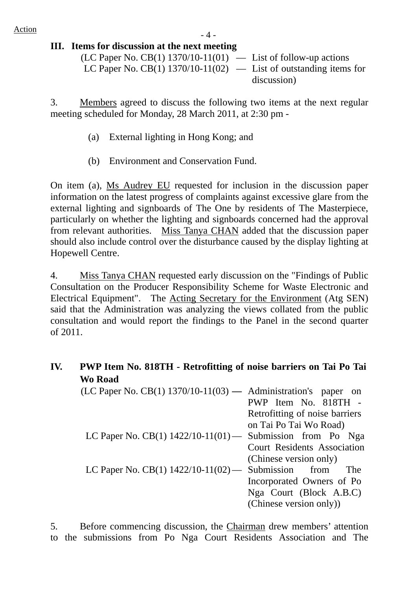# **III. Items for discussion at the next meeting**

| (LC Paper No. CB(1) $1370/10-11(01)$ — List of follow-up actions    |             |
|---------------------------------------------------------------------|-------------|
| LC Paper No. CB(1) $1370/10-11(02)$ — List of outstanding items for |             |
|                                                                     | discussion) |

3. Members agreed to discuss the following two items at the next regular meeting scheduled for Monday, 28 March 2011, at 2:30 pm -

- (a) External lighting in Hong Kong; and
- (b) Environment and Conservation Fund.

On item (a), Ms Audrey EU requested for inclusion in the discussion paper information on the latest progress of complaints against excessive glare from the external lighting and signboards of The One by residents of The Masterpiece, particularly on whether the lighting and signboards concerned had the approval from relevant authorities. Miss Tanya CHAN added that the discussion paper should also include control over the disturbance caused by the display lighting at Hopewell Centre.

4. Miss Tanya CHAN requested early discussion on the "Findings of Public Consultation on the Producer Responsibility Scheme for Waste Electronic and Electrical Equipment". The Acting Secretary for the Environment (Atg SEN) said that the Administration was analyzing the views collated from the public consultation and would report the findings to the Panel in the second quarter of 2011.

**IV. PWP Item No. 818TH - Retrofitting of noise barriers on Tai Po Tai Wo Road**

| (LC Paper No. CB(1) $1370/10-11(03)$ — Administration's paper on |                                    |
|------------------------------------------------------------------|------------------------------------|
|                                                                  | PWP Item No. 818TH -               |
|                                                                  | Retrofitting of noise barriers     |
|                                                                  | on Tai Po Tai Wo Road)             |
| LC Paper No. CB $(1)$ 1422/10-11 $(01)$ — Submission from Po Nga |                                    |
|                                                                  | <b>Court Residents Association</b> |
|                                                                  | (Chinese version only)             |
| LC Paper No. CB(1) $1422/10-11(02)$ —                            | Submission from<br><b>The</b>      |
|                                                                  | Incorporated Owners of Po          |
|                                                                  | Nga Court (Block A.B.C)            |
|                                                                  | (Chinese version only))            |
|                                                                  |                                    |

5. Before commencing discussion, the Chairman drew members' attention to the submissions from Po Nga Court Residents Association and The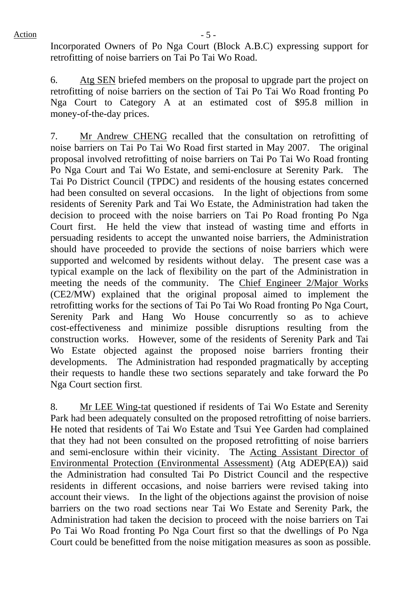Incorporated Owners of Po Nga Court (Block A.B.C) expressing support for retrofitting of noise barriers on Tai Po Tai Wo Road.

6. Atg SEN briefed members on the proposal to upgrade part the project on retrofitting of noise barriers on the section of Tai Po Tai Wo Road fronting Po Nga Court to Category A at an estimated cost of \$95.8 million in money-of-the-day prices.

7. Mr Andrew CHENG recalled that the consultation on retrofitting of noise barriers on Tai Po Tai Wo Road first started in May 2007. The original proposal involved retrofitting of noise barriers on Tai Po Tai Wo Road fronting Po Nga Court and Tai Wo Estate, and semi-enclosure at Serenity Park. The Tai Po District Council (TPDC) and residents of the housing estates concerned had been consulted on several occasions. In the light of objections from some residents of Serenity Park and Tai Wo Estate, the Administration had taken the decision to proceed with the noise barriers on Tai Po Road fronting Po Nga Court first. He held the view that instead of wasting time and efforts in persuading residents to accept the unwanted noise barriers, the Administration should have proceeded to provide the sections of noise barriers which were supported and welcomed by residents without delay. The present case was a typical example on the lack of flexibility on the part of the Administration in meeting the needs of the community. The Chief Engineer 2/Major Works (CE2/MW) explained that the original proposal aimed to implement the retrofitting works for the sections of Tai Po Tai Wo Road fronting Po Nga Court, Serenity Park and Hang Wo House concurrently so as to achieve cost-effectiveness and minimize possible disruptions resulting from the construction works. However, some of the residents of Serenity Park and Tai Wo Estate objected against the proposed noise barriers fronting their developments. The Administration had responded pragmatically by accepting their requests to handle these two sections separately and take forward the Po Nga Court section first.

8. Mr LEE Wing-tat questioned if residents of Tai Wo Estate and Serenity Park had been adequately consulted on the proposed retrofitting of noise barriers. He noted that residents of Tai Wo Estate and Tsui Yee Garden had complained that they had not been consulted on the proposed retrofitting of noise barriers and semi-enclosure within their vicinity. The Acting Assistant Director of Environmental Protection (Environmental Assessment) (Atg ADEP(EA)) said the Administration had consulted Tai Po District Council and the respective residents in different occasions, and noise barriers were revised taking into account their views. In the light of the objections against the provision of noise barriers on the two road sections near Tai Wo Estate and Serenity Park, the Administration had taken the decision to proceed with the noise barriers on Tai Po Tai Wo Road fronting Po Nga Court first so that the dwellings of Po Nga Court could be benefitted from the noise mitigation measures as soon as possible.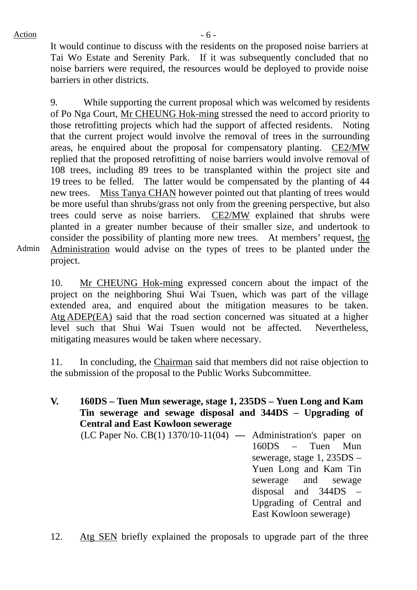$Action$   $-6$  -

It would continue to discuss with the residents on the proposed noise barriers at Tai Wo Estate and Serenity Park. If it was subsequently concluded that no noise barriers were required, the resources would be deployed to provide noise barriers in other districts.

9. While supporting the current proposal which was welcomed by residents of Po Nga Court, Mr CHEUNG Hok-ming stressed the need to accord priority to those retrofitting projects which had the support of affected residents. Noting that the current project would involve the removal of trees in the surrounding areas, he enquired about the proposal for compensatory planting. CE2/MW replied that the proposed retrofitting of noise barriers would involve removal of 108 trees, including 89 trees to be transplanted within the project site and 19 trees to be felled. The latter would be compensated by the planting of 44 new trees. Miss Tanya CHAN however pointed out that planting of trees would be more useful than shrubs/grass not only from the greening perspective, but also trees could serve as noise barriers. CE2/MW explained that shrubs were planted in a greater number because of their smaller size, and undertook to consider the possibility of planting more new trees. At members' request, the Administration would advise on the types of trees to be planted under the project.

Admin

10. Mr CHEUNG Hok-ming expressed concern about the impact of the project on the neighboring Shui Wai Tsuen, which was part of the village extended area, and enquired about the mitigation measures to be taken. Atg ADEP(EA) said that the road section concerned was situated at a higher level such that Shui Wai Tsuen would not be affected. Nevertheless, mitigating measures would be taken where necessary.

11. In concluding, the Chairman said that members did not raise objection to the submission of the proposal to the Public Works Subcommittee.

**V. 160DS – Tuen Mun sewerage, stage 1, 235DS – Yuen Long and Kam Tin sewerage and sewage disposal and 344DS – Upgrading of Central and East Kowloon sewerage**  (LC Paper No. CB(1) 1370/10-11(04) **—** Administration's paper on 160DS – Tuen Mun sewerage, stage 1, 235DS – Yuen Long and Kam Tin sewerage and sewage disposal and 344DS – Upgrading of Central and East Kowloon sewerage)

12. Atg SEN briefly explained the proposals to upgrade part of the three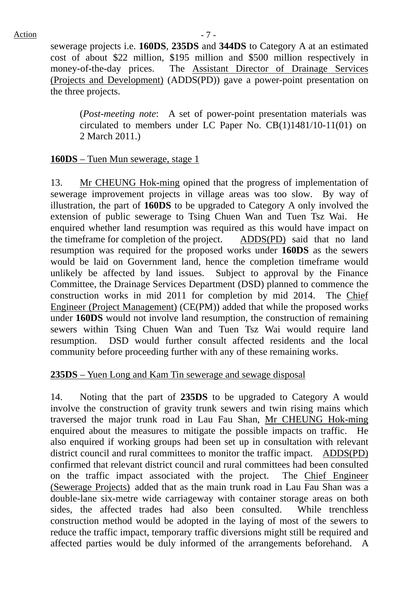sewerage projects i.e. **160DS**, **235DS** and **344DS** to Category A at an estimated cost of about \$22 million, \$195 million and \$500 million respectively in money-of-the-day prices. The Assistant Director of Drainage Services (Projects and Development) (ADDS(PD)) gave a power-point presentation on the three projects.

(*Post-meeting note*: A set of power-point presentation materials was circulated to members under LC Paper No. CB(1)1481/10-11(01) on 2 March 2011.)

#### **160DS** – Tuen Mun sewerage, stage 1

13. Mr CHEUNG Hok-ming opined that the progress of implementation of sewerage improvement projects in village areas was too slow. By way of illustration, the part of **160DS** to be upgraded to Category A only involved the extension of public sewerage to Tsing Chuen Wan and Tuen Tsz Wai. He enquired whether land resumption was required as this would have impact on the timeframe for completion of the project. ADDS(PD) said that no land resumption was required for the proposed works under **160DS** as the sewers would be laid on Government land, hence the completion timeframe would unlikely be affected by land issues. Subject to approval by the Finance Committee, the Drainage Services Department (DSD) planned to commence the construction works in mid 2011 for completion by mid 2014. The Chief Engineer (Project Management) (CE(PM)) added that while the proposed works under **160DS** would not involve land resumption, the construction of remaining sewers within Tsing Chuen Wan and Tuen Tsz Wai would require land resumption. DSD would further consult affected residents and the local community before proceeding further with any of these remaining works.

#### **235DS** – Yuen Long and Kam Tin sewerage and sewage disposal

14. Noting that the part of **235DS** to be upgraded to Category A would involve the construction of gravity trunk sewers and twin rising mains which traversed the major trunk road in Lau Fau Shan, Mr CHEUNG Hok-ming enquired about the measures to mitigate the possible impacts on traffic. He also enquired if working groups had been set up in consultation with relevant district council and rural committees to monitor the traffic impact. ADDS(PD) confirmed that relevant district council and rural committees had been consulted on the traffic impact associated with the project. The Chief Engineer (Sewerage Projects) added that as the main trunk road in Lau Fau Shan was a double-lane six-metre wide carriageway with container storage areas on both sides, the affected trades had also been consulted. While trenchless construction method would be adopted in the laying of most of the sewers to reduce the traffic impact, temporary traffic diversions might still be required and affected parties would be duly informed of the arrangements beforehand. A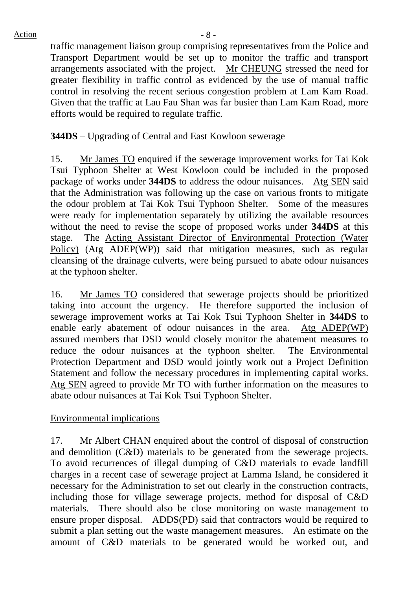traffic management liaison group comprising representatives from the Police and Transport Department would be set up to monitor the traffic and transport arrangements associated with the project. Mr CHEUNG stressed the need for greater flexibility in traffic control as evidenced by the use of manual traffic control in resolving the recent serious congestion problem at Lam Kam Road. Given that the traffic at Lau Fau Shan was far busier than Lam Kam Road, more efforts would be required to regulate traffic.

# **344DS** – Upgrading of Central and East Kowloon sewerage

15. Mr James TO enquired if the sewerage improvement works for Tai Kok Tsui Typhoon Shelter at West Kowloon could be included in the proposed package of works under **344DS** to address the odour nuisances. Atg SEN said that the Administration was following up the case on various fronts to mitigate the odour problem at Tai Kok Tsui Typhoon Shelter. Some of the measures were ready for implementation separately by utilizing the available resources without the need to revise the scope of proposed works under **344DS** at this stage. The Acting Assistant Director of Environmental Protection (Water Policy) (Atg ADEP(WP)) said that mitigation measures, such as regular cleansing of the drainage culverts, were being pursued to abate odour nuisances at the typhoon shelter.

16. Mr James TO considered that sewerage projects should be prioritized taking into account the urgency. He therefore supported the inclusion of sewerage improvement works at Tai Kok Tsui Typhoon Shelter in **344DS** to enable early abatement of odour nuisances in the area. Atg ADEP(WP) assured members that DSD would closely monitor the abatement measures to reduce the odour nuisances at the typhoon shelter. The Environmental Protection Department and DSD would jointly work out a Project Definition Statement and follow the necessary procedures in implementing capital works. Atg SEN agreed to provide Mr TO with further information on the measures to abate odour nuisances at Tai Kok Tsui Typhoon Shelter.

#### Environmental implications

17. Mr Albert CHAN enquired about the control of disposal of construction and demolition (C&D) materials to be generated from the sewerage projects. To avoid recurrences of illegal dumping of C&D materials to evade landfill charges in a recent case of sewerage project at Lamma Island, he considered it necessary for the Administration to set out clearly in the construction contracts, including those for village sewerage projects, method for disposal of C&D materials. There should also be close monitoring on waste management to ensure proper disposal. ADDS(PD) said that contractors would be required to submit a plan setting out the waste management measures. An estimate on the amount of C&D materials to be generated would be worked out, and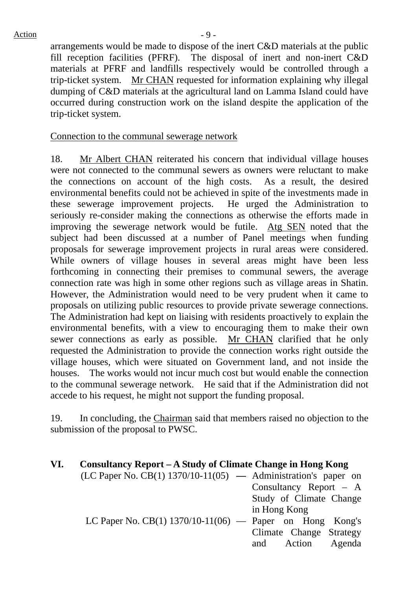arrangements would be made to dispose of the inert C&D materials at the public fill reception facilities (PFRF). The disposal of inert and non-inert C&D materials at PFRF and landfills respectively would be controlled through a trip-ticket system. Mr CHAN requested for information explaining why illegal dumping of C&D materials at the agricultural land on Lamma Island could have occurred during construction work on the island despite the application of the trip-ticket system.

## Connection to the communal sewerage network

18. Mr Albert CHAN reiterated his concern that individual village houses were not connected to the communal sewers as owners were reluctant to make the connections on account of the high costs. As a result, the desired environmental benefits could not be achieved in spite of the investments made in these sewerage improvement projects. He urged the Administration to seriously re-consider making the connections as otherwise the efforts made in improving the sewerage network would be futile. Atg SEN noted that the subject had been discussed at a number of Panel meetings when funding proposals for sewerage improvement projects in rural areas were considered. While owners of village houses in several areas might have been less forthcoming in connecting their premises to communal sewers, the average connection rate was high in some other regions such as village areas in Shatin. However, the Administration would need to be very prudent when it came to proposals on utilizing public resources to provide private sewerage connections. The Administration had kept on liaising with residents proactively to explain the environmental benefits, with a view to encouraging them to make their own sewer connections as early as possible. Mr CHAN clarified that he only requested the Administration to provide the connection works right outside the village houses, which were situated on Government land, and not inside the houses. The works would not incur much cost but would enable the connection to the communal sewerage network. He said that if the Administration did not accede to his request, he might not support the funding proposal.

19. In concluding, the Chairman said that members raised no objection to the submission of the proposal to PWSC.

| VI. | <b>Consultancy Report – A Study of Climate Change in Hong Kong</b> |                         |
|-----|--------------------------------------------------------------------|-------------------------|
|     | $(LC$ Paper No. $CB(1)$ 1370/10-11(05) — Administration's paper on |                         |
|     |                                                                    | Consultancy Report - A  |
|     |                                                                    | Study of Climate Change |
|     |                                                                    | in Hong Kong            |
|     | LC Paper No. CB(1) $1370/10-11(06)$ — Paper on Hong Kong's         |                         |
|     |                                                                    | Climate Change Strategy |
|     |                                                                    | and Action Agenda       |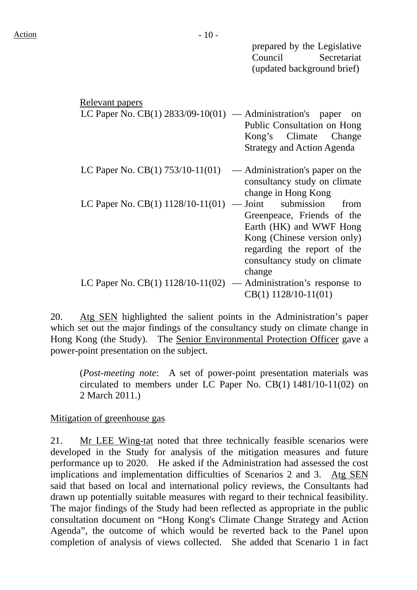prepared by the Legislative Council Secretariat (updated background brief)

| <u>Relevant papers</u><br>LC Paper No. CB(1) $2833/09-10(01)$ - Administration's paper | on<br>Public Consultation on Hong<br>Kong's Climate Change<br><b>Strategy and Action Agenda</b>                                                               |
|----------------------------------------------------------------------------------------|---------------------------------------------------------------------------------------------------------------------------------------------------------------|
| LC Paper No. $CB(1)$ 753/10-11(01)                                                     | — Administration's paper on the<br>consultancy study on climate<br>change in Hong Kong                                                                        |
| LC Paper No. $CB(1)$ 1128/10-11(01) — Joint submission from                            | Greenpeace, Friends of the<br>Earth (HK) and WWF Hong<br>Kong (Chinese version only)<br>regarding the report of the<br>consultancy study on climate<br>change |
| LC Paper No. $CB(1)$ 1128/10-11(02)                                                    | — Administration's response to<br>$CB(1)$ 1128/10-11(01)                                                                                                      |

20. Atg SEN highlighted the salient points in the Administration's paper which set out the major findings of the consultancy study on climate change in Hong Kong (the Study). The Senior Environmental Protection Officer gave a power-point presentation on the subject.

(*Post-meeting note*: A set of power-point presentation materials was circulated to members under LC Paper No. CB(1) 1481/10-11(02) on 2 March 2011.)

Mitigation of greenhouse gas

21. Mr LEE Wing-tat noted that three technically feasible scenarios were developed in the Study for analysis of the mitigation measures and future performance up to 2020. He asked if the Administration had assessed the cost implications and implementation difficulties of Scenarios 2 and 3. Atg SEN said that based on local and international policy reviews, the Consultants had drawn up potentially suitable measures with regard to their technical feasibility. The major findings of the Study had been reflected as appropriate in the public consultation document on "Hong Kong's Climate Change Strategy and Action Agenda", the outcome of which would be reverted back to the Panel upon completion of analysis of views collected. She added that Scenario 1 in fact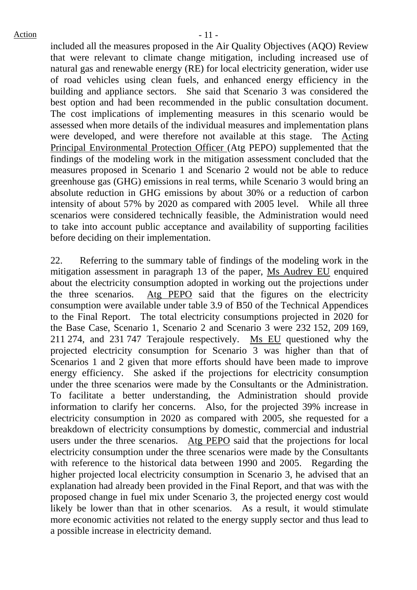included all the measures proposed in the Air Quality Objectives (AQO) Review that were relevant to climate change mitigation, including increased use of natural gas and renewable energy (RE) for local electricity generation, wider use of road vehicles using clean fuels, and enhanced energy efficiency in the building and appliance sectors. She said that Scenario 3 was considered the best option and had been recommended in the public consultation document. The cost implications of implementing measures in this scenario would be assessed when more details of the individual measures and implementation plans were developed, and were therefore not available at this stage. The Acting Principal Environmental Protection Officer (Atg PEPO) supplemented that the findings of the modeling work in the mitigation assessment concluded that the measures proposed in Scenario 1 and Scenario 2 would not be able to reduce greenhouse gas (GHG) emissions in real terms, while Scenario 3 would bring an absolute reduction in GHG emissions by about 30% or a reduction of carbon intensity of about 57% by 2020 as compared with 2005 level. While all three scenarios were considered technically feasible, the Administration would need to take into account public acceptance and availability of supporting facilities before deciding on their implementation.

22. Referring to the summary table of findings of the modeling work in the mitigation assessment in paragraph 13 of the paper, Ms Audrey EU enquired about the electricity consumption adopted in working out the projections under the three scenarios. Atg PEPO said that the figures on the electricity consumption were available under table 3.9 of B50 of the Technical Appendices to the Final Report. The total electricity consumptions projected in 2020 for the Base Case, Scenario 1, Scenario 2 and Scenario 3 were 232 152, 209 169, 211 274, and 231 747 Terajoule respectively. Ms EU questioned why the projected electricity consumption for Scenario 3 was higher than that of Scenarios 1 and 2 given that more efforts should have been made to improve energy efficiency. She asked if the projections for electricity consumption under the three scenarios were made by the Consultants or the Administration. To facilitate a better understanding, the Administration should provide information to clarify her concerns. Also, for the projected 39% increase in electricity consumption in 2020 as compared with 2005, she requested for a breakdown of electricity consumptions by domestic, commercial and industrial users under the three scenarios. Atg PEPO said that the projections for local electricity consumption under the three scenarios were made by the Consultants with reference to the historical data between 1990 and 2005. Regarding the higher projected local electricity consumption in Scenario 3, he advised that an explanation had already been provided in the Final Report, and that was with the proposed change in fuel mix under Scenario 3, the projected energy cost would likely be lower than that in other scenarios. As a result, it would stimulate more economic activities not related to the energy supply sector and thus lead to a possible increase in electricity demand.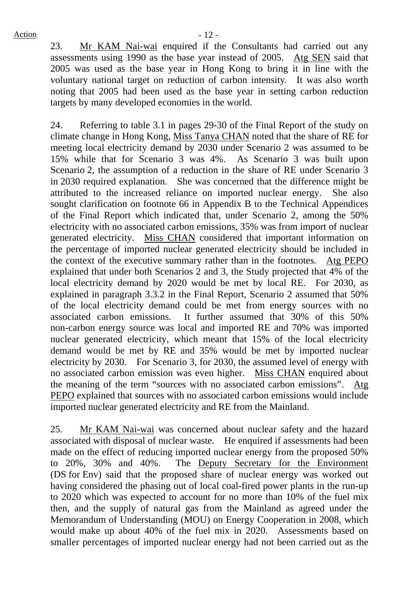23. Mr KAM Nai-wai enquired if the Consultants had carried out any assessments using 1990 as the base year instead of 2005. Atg SEN said that 2005 was used as the base year in Hong Kong to bring it in line with the voluntary national target on reduction of carbon intensity. It was also worth noting that 2005 had been used as the base year in setting carbon reduction targets by many developed economies in the world.

24. Referring to table 3.1 in pages 29-30 of the Final Report of the study on climate change in Hong Kong, Miss Tanya CHAN noted that the share of RE for meeting local electricity demand by 2030 under Scenario 2 was assumed to be 15% while that for Scenario 3 was 4%. As Scenario 3 was built upon Scenario 2, the assumption of a reduction in the share of RE under Scenario 3 in 2030 required explanation. She was concerned that the difference might be attributed to the increased reliance on imported nuclear energy. She also sought clarification on footnote 66 in Appendix B to the Technical Appendices of the Final Report which indicated that, under Scenario 2, among the 50% electricity with no associated carbon emissions, 35% was from import of nuclear generated electricity. Miss CHAN considered that important information on the percentage of imported nuclear generated electricity should be included in the context of the executive summary rather than in the footnotes. Atg PEPO explained that under both Scenarios 2 and 3, the Study projected that 4% of the local electricity demand by 2020 would be met by local RE. For 2030, as explained in paragraph 3.3.2 in the Final Report, Scenario 2 assumed that 50% of the local electricity demand could be met from energy sources with no associated carbon emissions. It further assumed that 30% of this 50% non-carbon energy source was local and imported RE and 70% was imported nuclear generated electricity, which meant that 15% of the local electricity demand would be met by RE and 35% would be met by imported nuclear electricity by 2030. For Scenario 3, for 2030, the assumed level of energy with no associated carbon emission was even higher. Miss CHAN enquired about the meaning of the term "sources with no associated carbon emissions". Atg PEPO explained that sources with no associated carbon emissions would include imported nuclear generated electricity and RE from the Mainland.

25. Mr KAM Nai-wai was concerned about nuclear safety and the hazard associated with disposal of nuclear waste. He enquired if assessments had been made on the effect of reducing imported nuclear energy from the proposed 50% to 20%, 30% and 40%. The Deputy Secretary for the Environment (DS for Env) said that the proposed share of nuclear energy was worked out having considered the phasing out of local coal-fired power plants in the run-up to 2020 which was expected to account for no more than 10% of the fuel mix then, and the supply of natural gas from the Mainland as agreed under the Memorandum of Understanding (MOU) on Energy Cooperation in 2008, which would make up about 40% of the fuel mix in 2020. Assessments based on smaller percentages of imported nuclear energy had not been carried out as the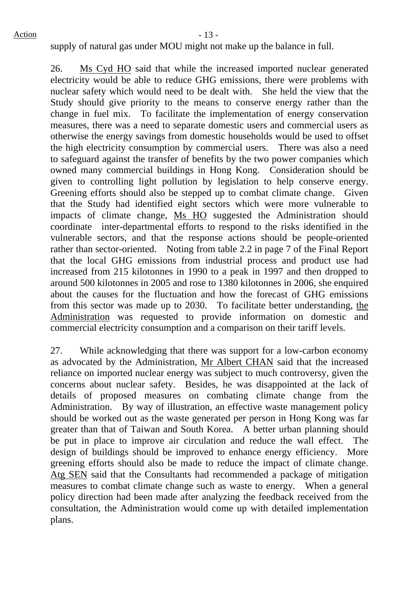supply of natural gas under MOU might not make up the balance in full.

26. Ms Cyd HO said that while the increased imported nuclear generated electricity would be able to reduce GHG emissions, there were problems with nuclear safety which would need to be dealt with. She held the view that the Study should give priority to the means to conserve energy rather than the change in fuel mix. To facilitate the implementation of energy conservation measures, there was a need to separate domestic users and commercial users as otherwise the energy savings from domestic households would be used to offset the high electricity consumption by commercial users. There was also a need to safeguard against the transfer of benefits by the two power companies which owned many commercial buildings in Hong Kong. Consideration should be given to controlling light pollution by legislation to help conserve energy. Greening efforts should also be stepped up to combat climate change. Given that the Study had identified eight sectors which were more vulnerable to impacts of climate change, Ms HO suggested the Administration should coordinate inter-departmental efforts to respond to the risks identified in the vulnerable sectors, and that the response actions should be people-oriented rather than sector-oriented. Noting from table 2.2 in page 7 of the Final Report that the local GHG emissions from industrial process and product use had increased from 215 kilotonnes in 1990 to a peak in 1997 and then dropped to around 500 kilotonnes in 2005 and rose to 1380 kilotonnes in 2006, she enquired about the causes for the fluctuation and how the forecast of GHG emissions from this sector was made up to 2030. To facilitate better understanding, the Administration was requested to provide information on domestic and commercial electricity consumption and a comparison on their tariff levels.

27. While acknowledging that there was support for a low-carbon economy as advocated by the Administration, Mr Albert CHAN said that the increased reliance on imported nuclear energy was subject to much controversy, given the concerns about nuclear safety. Besides, he was disappointed at the lack of details of proposed measures on combating climate change from the Administration. By way of illustration, an effective waste management policy should be worked out as the waste generated per person in Hong Kong was far greater than that of Taiwan and South Korea. A better urban planning should be put in place to improve air circulation and reduce the wall effect. The design of buildings should be improved to enhance energy efficiency. More greening efforts should also be made to reduce the impact of climate change. Atg SEN said that the Consultants had recommended a package of mitigation measures to combat climate change such as waste to energy. When a general policy direction had been made after analyzing the feedback received from the consultation, the Administration would come up with detailed implementation plans.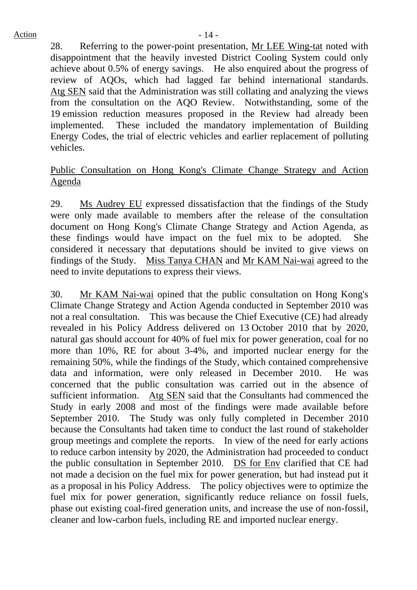28. Referring to the power-point presentation, Mr LEE Wing-tat noted with disappointment that the heavily invested District Cooling System could only achieve about 0.5% of energy savings. He also enquired about the progress of review of AQOs, which had lagged far behind international standards. Atg SEN said that the Administration was still collating and analyzing the views from the consultation on the AQO Review. Notwithstanding, some of the 19 emission reduction measures proposed in the Review had already been implemented. These included the mandatory implementation of Building Energy Codes, the trial of electric vehicles and earlier replacement of polluting vehicles.

## Public Consultation on Hong Kong's Climate Change Strategy and Action Agenda

29. Ms Audrey EU expressed dissatisfaction that the findings of the Study were only made available to members after the release of the consultation document on Hong Kong's Climate Change Strategy and Action Agenda, as these findings would have impact on the fuel mix to be adopted. She considered it necessary that deputations should be invited to give views on findings of the Study. Miss Tanya CHAN and Mr KAM Nai-wai agreed to the need to invite deputations to express their views.

30. Mr KAM Nai-wai opined that the public consultation on Hong Kong's Climate Change Strategy and Action Agenda conducted in September 2010 was not a real consultation. This was because the Chief Executive (CE) had already revealed in his Policy Address delivered on 13 October 2010 that by 2020, natural gas should account for 40% of fuel mix for power generation, coal for no more than 10%, RE for about 3-4%, and imported nuclear energy for the remaining 50%, while the findings of the Study, which contained comprehensive data and information, were only released in December 2010. He was concerned that the public consultation was carried out in the absence of sufficient information. Atg SEN said that the Consultants had commenced the Study in early 2008 and most of the findings were made available before September 2010. The Study was only fully completed in December 2010 because the Consultants had taken time to conduct the last round of stakeholder group meetings and complete the reports. In view of the need for early actions to reduce carbon intensity by 2020, the Administration had proceeded to conduct the public consultation in September 2010. DS for Env clarified that CE had not made a decision on the fuel mix for power generation, but had instead put it as a proposal in his Policy Address. The policy objectives were to optimize the fuel mix for power generation, significantly reduce reliance on fossil fuels, phase out existing coal-fired generation units, and increase the use of non-fossil, cleaner and low-carbon fuels, including RE and imported nuclear energy.